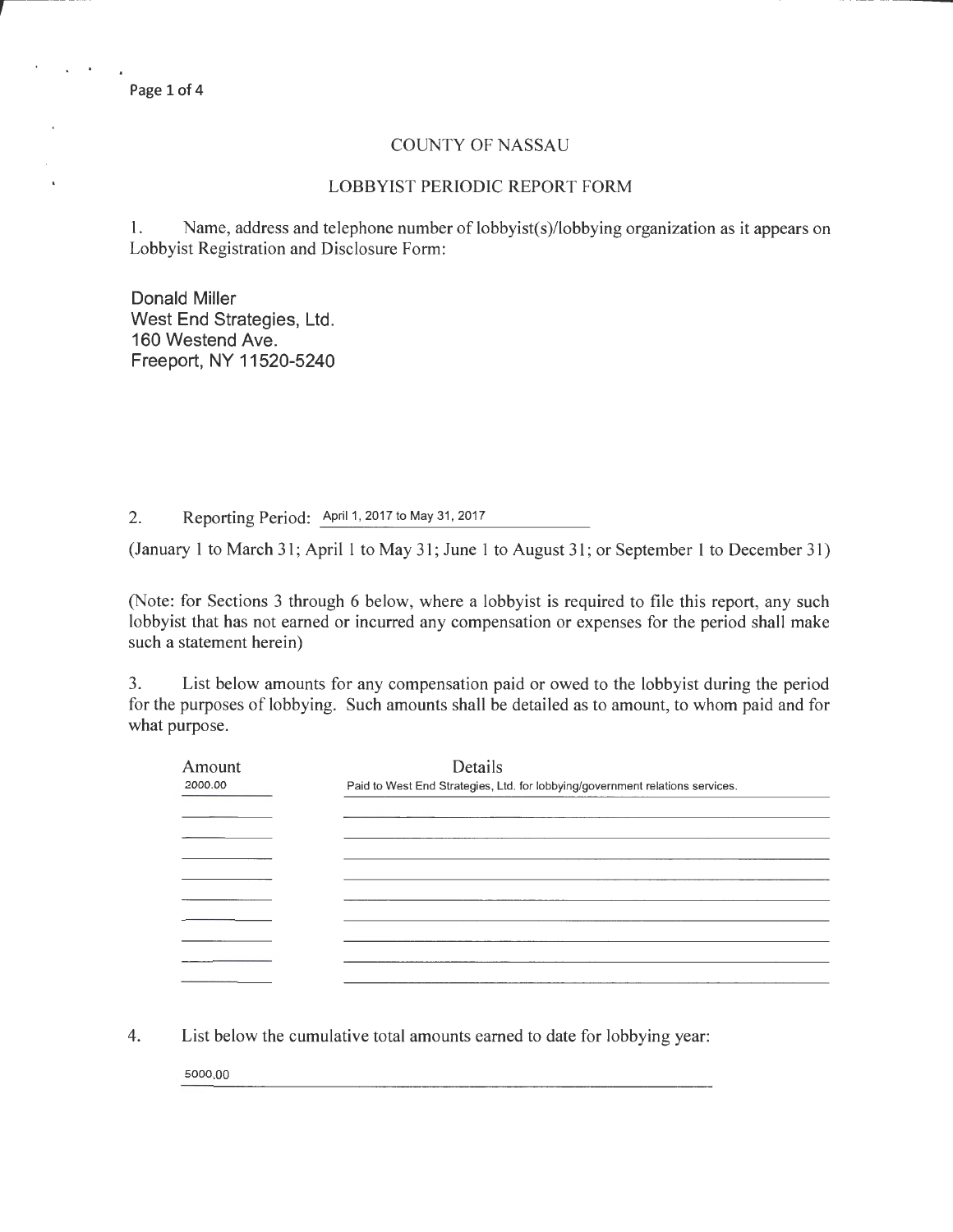$\ddot{\phantom{a}}$ 

## COUNTY OF NASSAU

## LOBBYIST PERIODIC REPORT FORM

1. Name, address and telephone number of lobbyist(s)/lobbying organization as it appears on Lobbyist Registration and Disclosure Form:

Donald Miller West End Strategies, Ltd. 160 Westend Ave. Freeport, NY 11520-5240

2. Reporting Period: April 1, 2017 to May 31, 2017

(January 1 to March 31; April 1 to May 31; June 1 to August 31; or September 1 to December 31)

(Note: for Sections 3 through 6 below, where a lobbyist is required to file this report, any such lobbyist that has not earned or incurred any compensation or expenses for the period shall make such a statement herein)

3. List below amounts for any compensation paid or owed to the lobbyist during the period for the purposes of lobbying. Such amounts shall be detailed as to amount, to whom paid and for what purpose.

| Amount<br>2000.00 | Details<br>Paid to West End Strategies, Ltd. for lobbying/government relations services. |
|-------------------|------------------------------------------------------------------------------------------|
|                   |                                                                                          |
|                   |                                                                                          |
|                   |                                                                                          |
|                   |                                                                                          |
|                   |                                                                                          |
|                   |                                                                                          |
|                   |                                                                                          |
|                   |                                                                                          |

4. List below the cumulative total amounts earned to date for lobbying year:

5000.00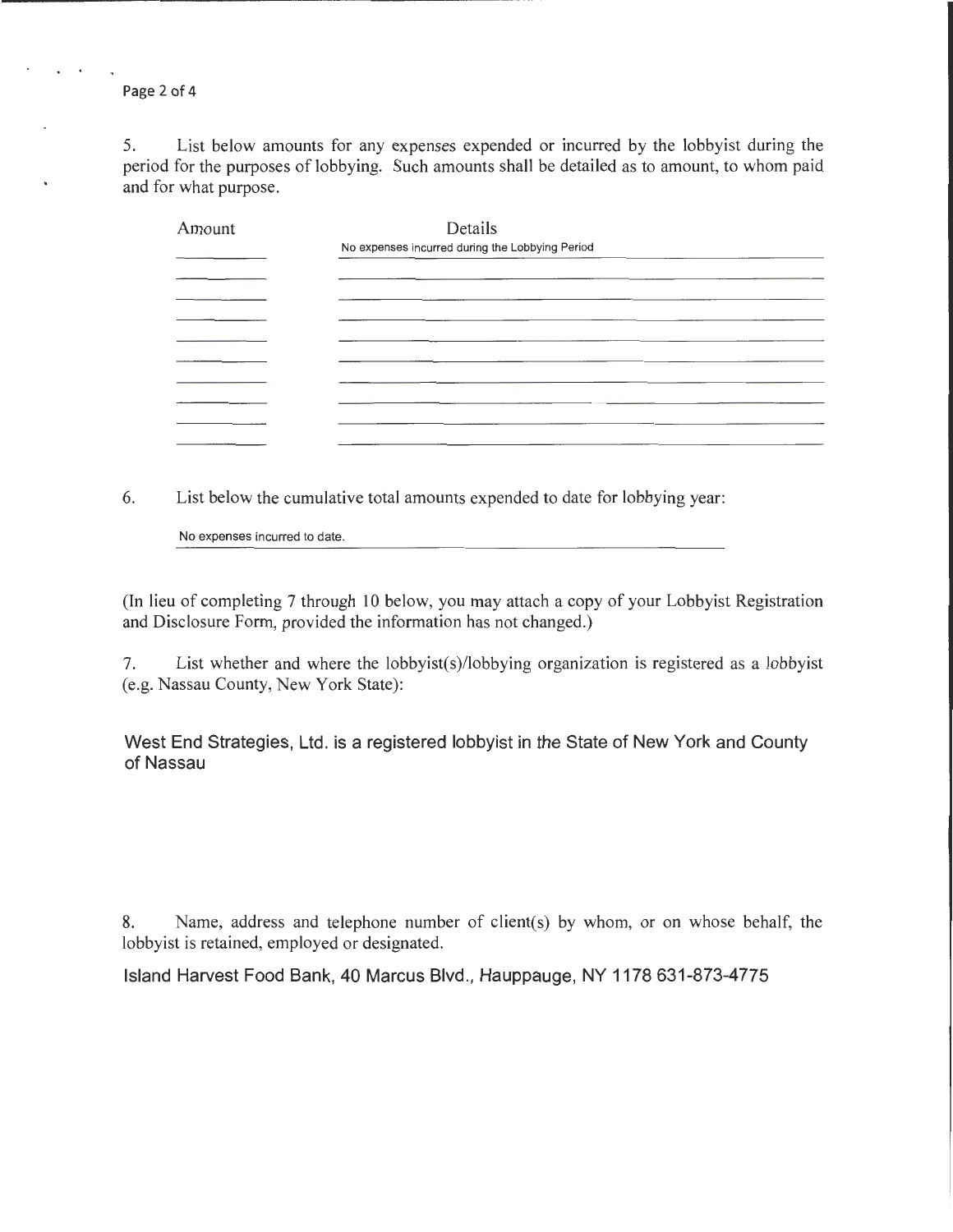Page 2 of 4

5. List below amounts for any expenses expended or incurred by the lobbyist during the period for the purposes of lobbying. Such amounts shall be detailed as to amount, to whom paid and for what purpose.

| Amount | Details                                                                         |
|--------|---------------------------------------------------------------------------------|
|        | No expenses incurred during the Lobbying Period                                 |
|        |                                                                                 |
|        |                                                                                 |
|        |                                                                                 |
|        |                                                                                 |
|        |                                                                                 |
|        | the contract of the contract of the contract of the contract of the contract of |
|        |                                                                                 |
|        |                                                                                 |
|        |                                                                                 |

6. List below the cumulative total amounts expended to date for lobbying year:

No expenses incurred to date.

(In lieu of completing 7 through 10 below, you may attach a copy of your Lobbyist Registration and Disclosure Form, provided the information has not changed.)

7. List whether and where the lobbyist(s)/lobbying organization is registered as a lobbyist (e.g. Nassau County, New York State):

West End Strategies, Ltd. is a registered lobbyist in the State of New York and County of Nassau

8. Name, address and telephone number of client(s) by whom, or on whose behalf, the lobbyist is retained, employed or designated.

Island Harvest Food Bank, 40 Marcus Blvd., Hauppauge, NY 1178 631-873-4775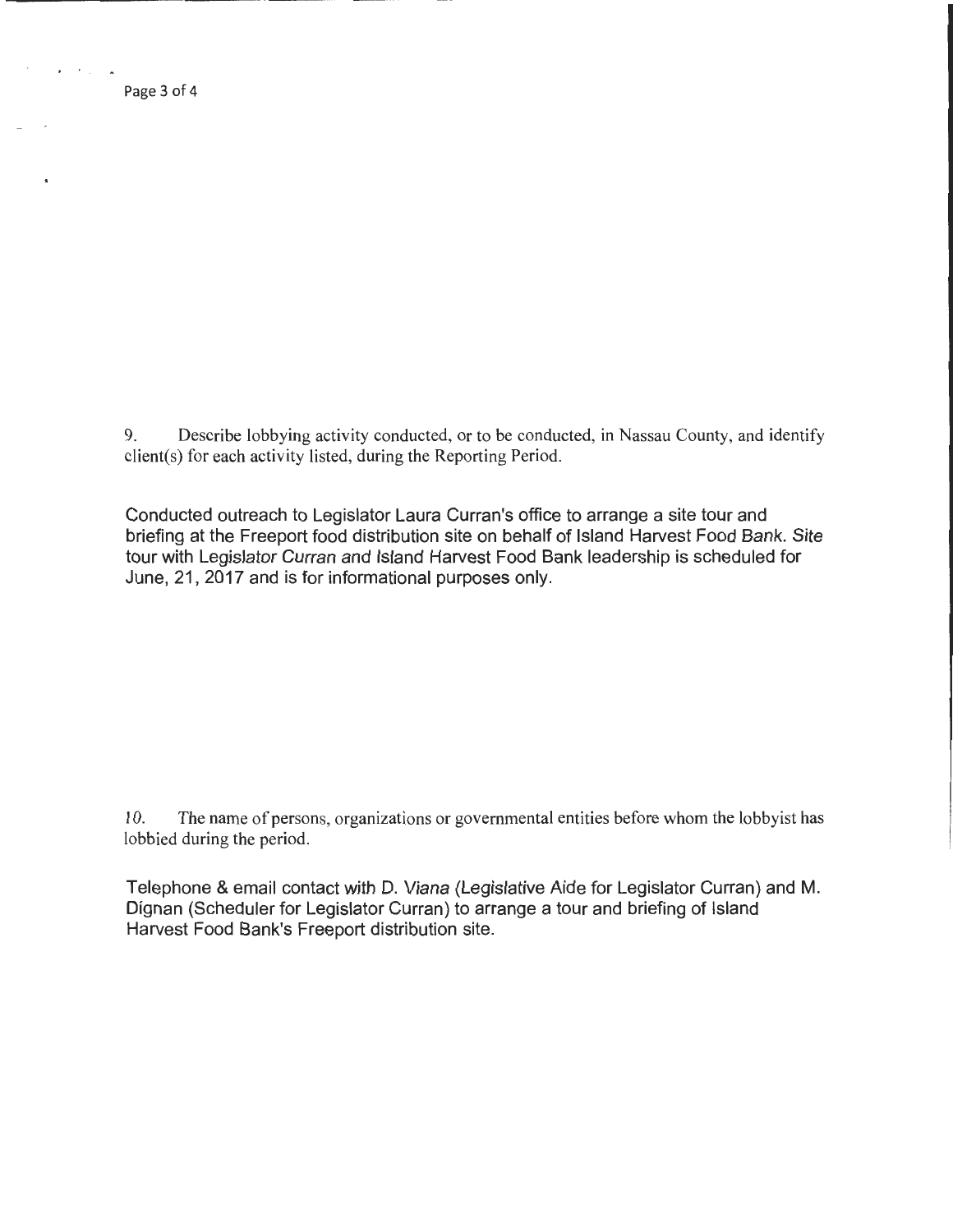Page 3 of 4

9. Describe lobbying activity conducted, or to be conducted, in Nassau County, and identify client(s) for each activity listed, during the Reporting Period.

Conducted outreach to Legislator Laura Curran's office to arrange a site tour and briefing at the Freeport food distribution site on behalf of Island Harvest Food Bank. Site tour with Legislator Curran and Island Harvest Food Bank leadership is scheduled for June, 21, 2017 and is for informational purposes only.

10. The name of persons, organizations or governmental entities before whom the lobbyist has lobbied during the period.

Telephone & email contact with D. Viana (Legislative Aide for Legislator Curran) and M. Dignan (Scheduler for Legislator Curran) to arrange a tour and briefing of Island Harvest Food Bank's Freeport distribution site.